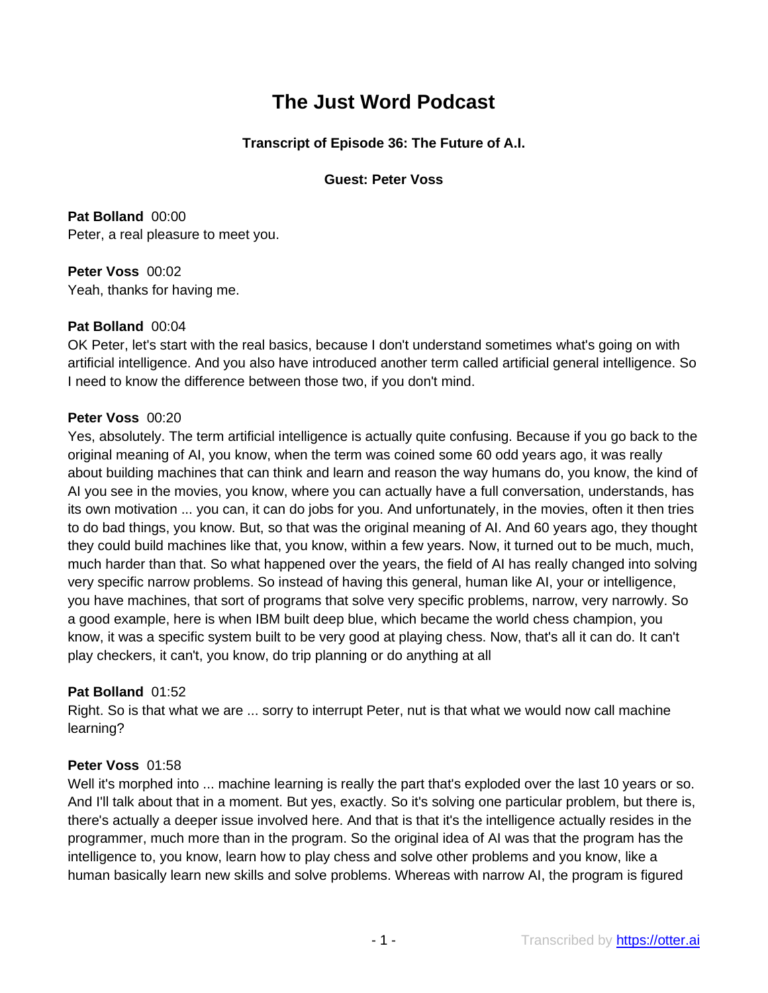# **The Just Word Podcast**

# **Transcript of Episode 36: The Future of A.I.**

## **Guest: Peter Voss**

**Pat Bolland** 00:00 Peter, a real pleasure to meet you.

**Peter Voss** 00:02 Yeah, thanks for having me.

# **Pat Bolland** 00:04

OK Peter, let's start with the real basics, because I don't understand sometimes what's going on with artificial intelligence. And you also have introduced another term called artificial general intelligence. So I need to know the difference between those two, if you don't mind.

## **Peter Voss** 00:20

Yes, absolutely. The term artificial intelligence is actually quite confusing. Because if you go back to the original meaning of AI, you know, when the term was coined some 60 odd years ago, it was really about building machines that can think and learn and reason the way humans do, you know, the kind of AI you see in the movies, you know, where you can actually have a full conversation, understands, has its own motivation ... you can, it can do jobs for you. And unfortunately, in the movies, often it then tries to do bad things, you know. But, so that was the original meaning of AI. And 60 years ago, they thought they could build machines like that, you know, within a few years. Now, it turned out to be much, much, much harder than that. So what happened over the years, the field of AI has really changed into solving very specific narrow problems. So instead of having this general, human like AI, your or intelligence, you have machines, that sort of programs that solve very specific problems, narrow, very narrowly. So a good example, here is when IBM built deep blue, which became the world chess champion, you know, it was a specific system built to be very good at playing chess. Now, that's all it can do. It can't play checkers, it can't, you know, do trip planning or do anything at all

# **Pat Bolland** 01:52

Right. So is that what we are ... sorry to interrupt Peter, nut is that what we would now call machine learning?

# **Peter Voss** 01:58

Well it's morphed into ... machine learning is really the part that's exploded over the last 10 years or so. And I'll talk about that in a moment. But yes, exactly. So it's solving one particular problem, but there is, there's actually a deeper issue involved here. And that is that it's the intelligence actually resides in the programmer, much more than in the program. So the original idea of AI was that the program has the intelligence to, you know, learn how to play chess and solve other problems and you know, like a human basically learn new skills and solve problems. Whereas with narrow AI, the program is figured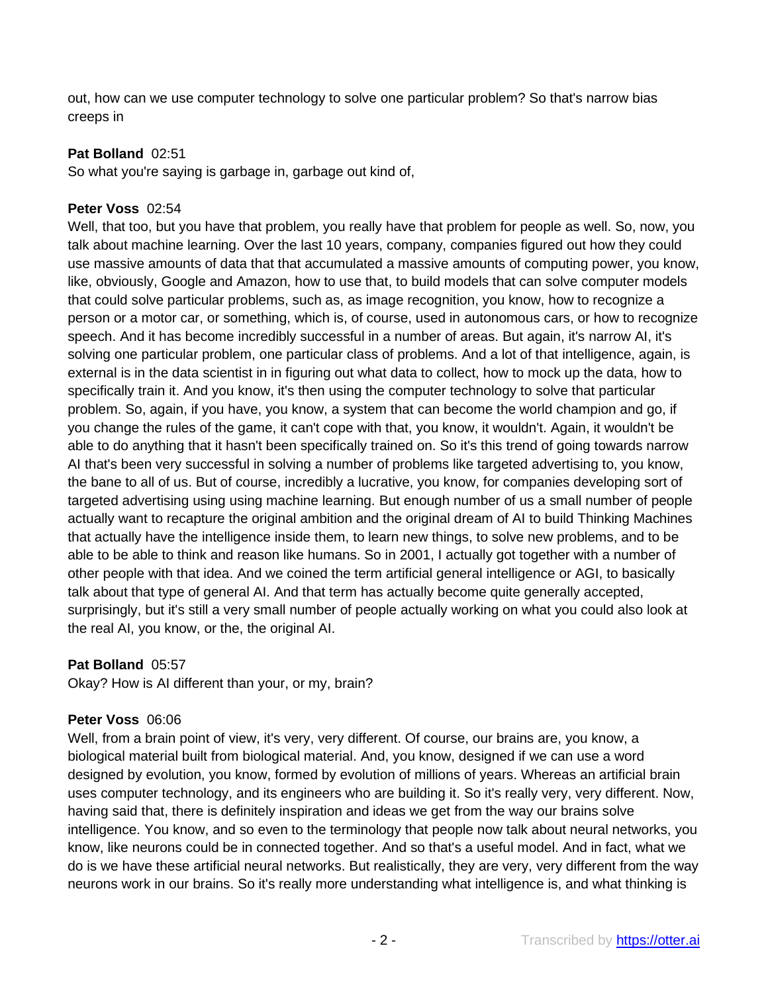out, how can we use computer technology to solve one particular problem? So that's narrow bias creeps in

# **Pat Bolland** 02:51

So what you're saying is garbage in, garbage out kind of,

#### **Peter Voss** 02:54

Well, that too, but you have that problem, you really have that problem for people as well. So, now, you talk about machine learning. Over the last 10 years, company, companies figured out how they could use massive amounts of data that that accumulated a massive amounts of computing power, you know, like, obviously, Google and Amazon, how to use that, to build models that can solve computer models that could solve particular problems, such as, as image recognition, you know, how to recognize a person or a motor car, or something, which is, of course, used in autonomous cars, or how to recognize speech. And it has become incredibly successful in a number of areas. But again, it's narrow AI, it's solving one particular problem, one particular class of problems. And a lot of that intelligence, again, is external is in the data scientist in in figuring out what data to collect, how to mock up the data, how to specifically train it. And you know, it's then using the computer technology to solve that particular problem. So, again, if you have, you know, a system that can become the world champion and go, if you change the rules of the game, it can't cope with that, you know, it wouldn't. Again, it wouldn't be able to do anything that it hasn't been specifically trained on. So it's this trend of going towards narrow AI that's been very successful in solving a number of problems like targeted advertising to, you know, the bane to all of us. But of course, incredibly a lucrative, you know, for companies developing sort of targeted advertising using using machine learning. But enough number of us a small number of people actually want to recapture the original ambition and the original dream of AI to build Thinking Machines that actually have the intelligence inside them, to learn new things, to solve new problems, and to be able to be able to think and reason like humans. So in 2001, I actually got together with a number of other people with that idea. And we coined the term artificial general intelligence or AGI, to basically talk about that type of general AI. And that term has actually become quite generally accepted, surprisingly, but it's still a very small number of people actually working on what you could also look at the real AI, you know, or the, the original AI.

# **Pat Bolland** 05:57

Okay? How is AI different than your, or my, brain?

#### **Peter Voss** 06:06

Well, from a brain point of view, it's very, very different. Of course, our brains are, you know, a biological material built from biological material. And, you know, designed if we can use a word designed by evolution, you know, formed by evolution of millions of years. Whereas an artificial brain uses computer technology, and its engineers who are building it. So it's really very, very different. Now, having said that, there is definitely inspiration and ideas we get from the way our brains solve intelligence. You know, and so even to the terminology that people now talk about neural networks, you know, like neurons could be in connected together. And so that's a useful model. And in fact, what we do is we have these artificial neural networks. But realistically, they are very, very different from the way neurons work in our brains. So it's really more understanding what intelligence is, and what thinking is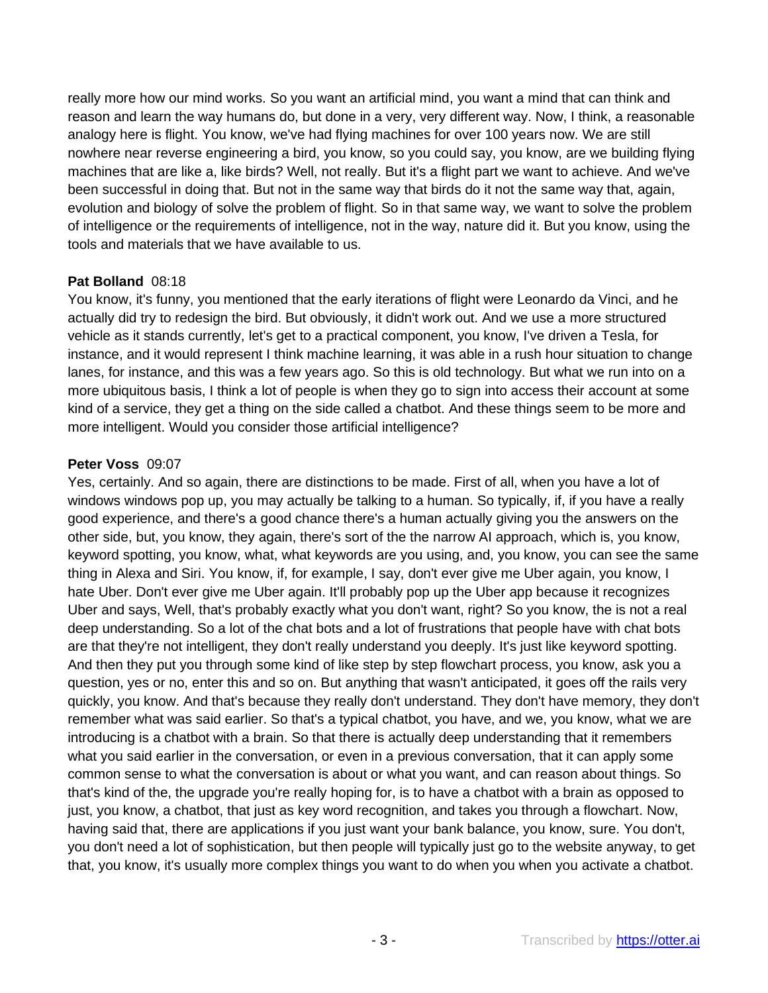really more how our mind works. So you want an artificial mind, you want a mind that can think and reason and learn the way humans do, but done in a very, very different way. Now, I think, a reasonable analogy here is flight. You know, we've had flying machines for over 100 years now. We are still nowhere near reverse engineering a bird, you know, so you could say, you know, are we building flying machines that are like a, like birds? Well, not really. But it's a flight part we want to achieve. And we've been successful in doing that. But not in the same way that birds do it not the same way that, again, evolution and biology of solve the problem of flight. So in that same way, we want to solve the problem of intelligence or the requirements of intelligence, not in the way, nature did it. But you know, using the tools and materials that we have available to us.

## **Pat Bolland** 08:18

You know, it's funny, you mentioned that the early iterations of flight were Leonardo da Vinci, and he actually did try to redesign the bird. But obviously, it didn't work out. And we use a more structured vehicle as it stands currently, let's get to a practical component, you know, I've driven a Tesla, for instance, and it would represent I think machine learning, it was able in a rush hour situation to change lanes, for instance, and this was a few years ago. So this is old technology. But what we run into on a more ubiquitous basis, I think a lot of people is when they go to sign into access their account at some kind of a service, they get a thing on the side called a chatbot. And these things seem to be more and more intelligent. Would you consider those artificial intelligence?

## **Peter Voss** 09:07

Yes, certainly. And so again, there are distinctions to be made. First of all, when you have a lot of windows windows pop up, you may actually be talking to a human. So typically, if, if you have a really good experience, and there's a good chance there's a human actually giving you the answers on the other side, but, you know, they again, there's sort of the the narrow AI approach, which is, you know, keyword spotting, you know, what, what keywords are you using, and, you know, you can see the same thing in Alexa and Siri. You know, if, for example, I say, don't ever give me Uber again, you know, I hate Uber. Don't ever give me Uber again. It'll probably pop up the Uber app because it recognizes Uber and says, Well, that's probably exactly what you don't want, right? So you know, the is not a real deep understanding. So a lot of the chat bots and a lot of frustrations that people have with chat bots are that they're not intelligent, they don't really understand you deeply. It's just like keyword spotting. And then they put you through some kind of like step by step flowchart process, you know, ask you a question, yes or no, enter this and so on. But anything that wasn't anticipated, it goes off the rails very quickly, you know. And that's because they really don't understand. They don't have memory, they don't remember what was said earlier. So that's a typical chatbot, you have, and we, you know, what we are introducing is a chatbot with a brain. So that there is actually deep understanding that it remembers what you said earlier in the conversation, or even in a previous conversation, that it can apply some common sense to what the conversation is about or what you want, and can reason about things. So that's kind of the, the upgrade you're really hoping for, is to have a chatbot with a brain as opposed to just, you know, a chatbot, that just as key word recognition, and takes you through a flowchart. Now, having said that, there are applications if you just want your bank balance, you know, sure. You don't, you don't need a lot of sophistication, but then people will typically just go to the website anyway, to get that, you know, it's usually more complex things you want to do when you when you activate a chatbot.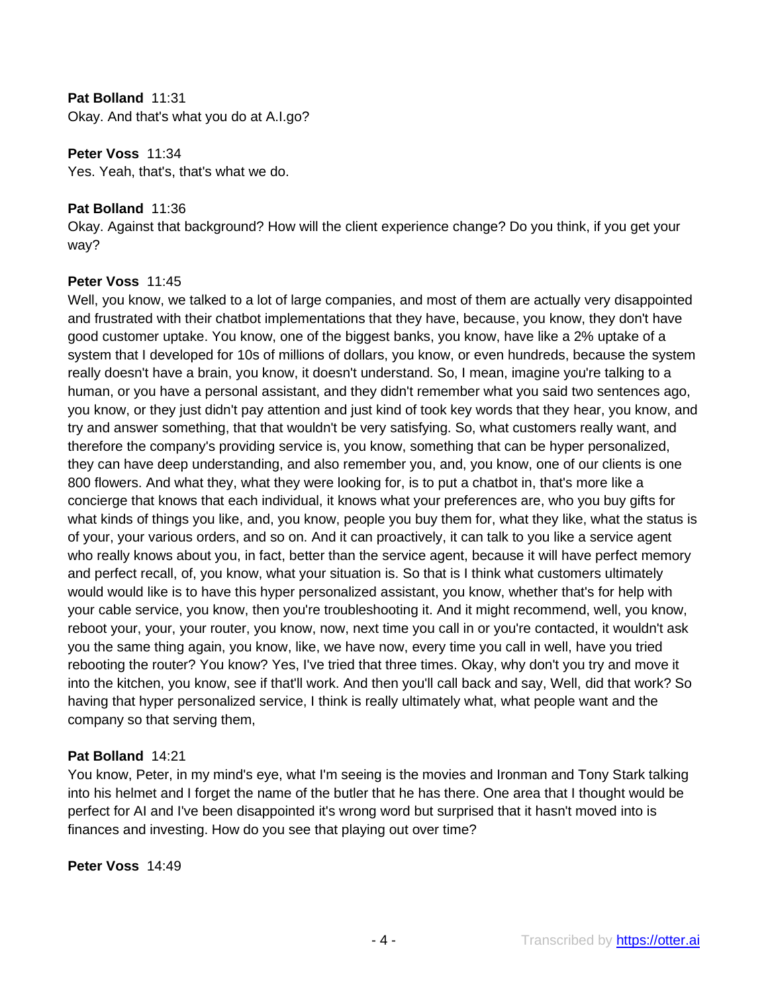## **Pat Bolland** 11:31

Okay. And that's what you do at A.I.go?

#### **Peter Voss** 11:34

Yes. Yeah, that's, that's what we do.

## **Pat Bolland** 11:36

Okay. Against that background? How will the client experience change? Do you think, if you get your way?

## **Peter Voss** 11:45

Well, you know, we talked to a lot of large companies, and most of them are actually very disappointed and frustrated with their chatbot implementations that they have, because, you know, they don't have good customer uptake. You know, one of the biggest banks, you know, have like a 2% uptake of a system that I developed for 10s of millions of dollars, you know, or even hundreds, because the system really doesn't have a brain, you know, it doesn't understand. So, I mean, imagine you're talking to a human, or you have a personal assistant, and they didn't remember what you said two sentences ago, you know, or they just didn't pay attention and just kind of took key words that they hear, you know, and try and answer something, that that wouldn't be very satisfying. So, what customers really want, and therefore the company's providing service is, you know, something that can be hyper personalized, they can have deep understanding, and also remember you, and, you know, one of our clients is one 800 flowers. And what they, what they were looking for, is to put a chatbot in, that's more like a concierge that knows that each individual, it knows what your preferences are, who you buy gifts for what kinds of things you like, and, you know, people you buy them for, what they like, what the status is of your, your various orders, and so on. And it can proactively, it can talk to you like a service agent who really knows about you, in fact, better than the service agent, because it will have perfect memory and perfect recall, of, you know, what your situation is. So that is I think what customers ultimately would would like is to have this hyper personalized assistant, you know, whether that's for help with your cable service, you know, then you're troubleshooting it. And it might recommend, well, you know, reboot your, your, your router, you know, now, next time you call in or you're contacted, it wouldn't ask you the same thing again, you know, like, we have now, every time you call in well, have you tried rebooting the router? You know? Yes, I've tried that three times. Okay, why don't you try and move it into the kitchen, you know, see if that'll work. And then you'll call back and say, Well, did that work? So having that hyper personalized service, I think is really ultimately what, what people want and the company so that serving them,

#### **Pat Bolland** 14:21

You know, Peter, in my mind's eye, what I'm seeing is the movies and Ironman and Tony Stark talking into his helmet and I forget the name of the butler that he has there. One area that I thought would be perfect for AI and I've been disappointed it's wrong word but surprised that it hasn't moved into is finances and investing. How do you see that playing out over time?

#### **Peter Voss** 14:49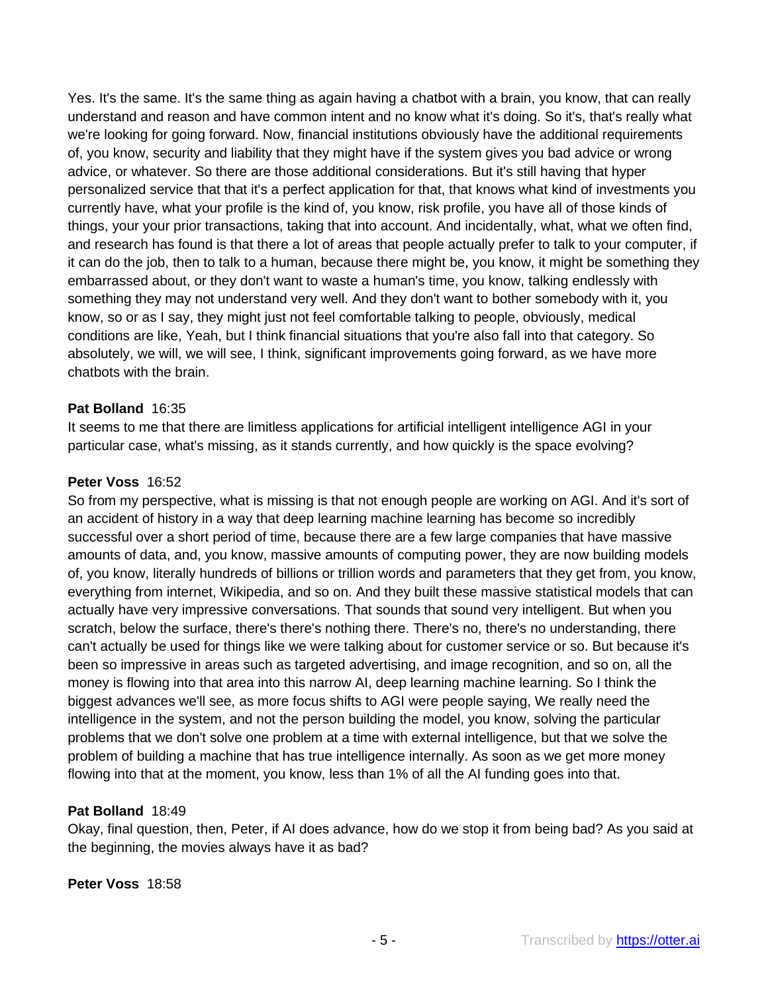Yes. It's the same. It's the same thing as again having a chatbot with a brain, you know, that can really understand and reason and have common intent and no know what it's doing. So it's, that's really what we're looking for going forward. Now, financial institutions obviously have the additional requirements of, you know, security and liability that they might have if the system gives you bad advice or wrong advice, or whatever. So there are those additional considerations. But it's still having that hyper personalized service that that it's a perfect application for that, that knows what kind of investments you currently have, what your profile is the kind of, you know, risk profile, you have all of those kinds of things, your your prior transactions, taking that into account. And incidentally, what, what we often find, and research has found is that there a lot of areas that people actually prefer to talk to your computer, if it can do the job, then to talk to a human, because there might be, you know, it might be something they embarrassed about, or they don't want to waste a human's time, you know, talking endlessly with something they may not understand very well. And they don't want to bother somebody with it, you know, so or as I say, they might just not feel comfortable talking to people, obviously, medical conditions are like, Yeah, but I think financial situations that you're also fall into that category. So absolutely, we will, we will see, I think, significant improvements going forward, as we have more chatbots with the brain.

## **Pat Bolland** 16:35

It seems to me that there are limitless applications for artificial intelligent intelligence AGI in your particular case, what's missing, as it stands currently, and how quickly is the space evolving?

## **Peter Voss** 16:52

So from my perspective, what is missing is that not enough people are working on AGI. And it's sort of an accident of history in a way that deep learning machine learning has become so incredibly successful over a short period of time, because there are a few large companies that have massive amounts of data, and, you know, massive amounts of computing power, they are now building models of, you know, literally hundreds of billions or trillion words and parameters that they get from, you know, everything from internet, Wikipedia, and so on. And they built these massive statistical models that can actually have very impressive conversations. That sounds that sound very intelligent. But when you scratch, below the surface, there's there's nothing there. There's no, there's no understanding, there can't actually be used for things like we were talking about for customer service or so. But because it's been so impressive in areas such as targeted advertising, and image recognition, and so on, all the money is flowing into that area into this narrow AI, deep learning machine learning. So I think the biggest advances we'll see, as more focus shifts to AGI were people saying, We really need the intelligence in the system, and not the person building the model, you know, solving the particular problems that we don't solve one problem at a time with external intelligence, but that we solve the problem of building a machine that has true intelligence internally. As soon as we get more money flowing into that at the moment, you know, less than 1% of all the AI funding goes into that.

#### **Pat Bolland** 18:49

Okay, final question, then, Peter, if AI does advance, how do we stop it from being bad? As you said at the beginning, the movies always have it as bad?

#### **Peter Voss** 18:58